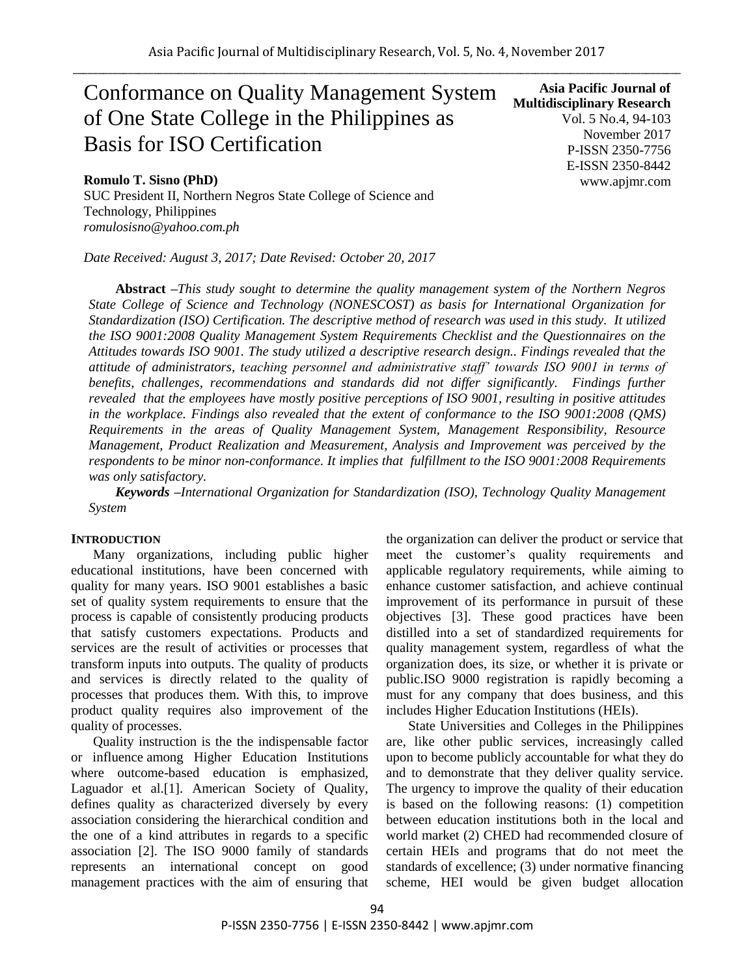# Conformance on Quality Management System of One State College in the Philippines as Basis for ISO Certification

# **Romulo T. Sisno (PhD)**

SUC President II, Northern Negros State College of Science and Technology, Philippines *[romulosisno@yahoo.com.ph](mailto:romulosisno@yahoo.com.ph)*

*Date Received: August 3, 2017; Date Revised: October 20, 2017*

**Asia Pacific Journal of Multidisciplinary Research** Vol. 5 No.4, 94-103 November 2017 P-ISSN 2350-7756 E-ISSN 2350-8442 www.apjmr.com

**Abstract** *–This study sought to determine the quality management system of the Northern Negros State College of Science and Technology (NONESCOST) as basis for International Organization for Standardization (ISO) Certification. The descriptive method of research was used in this study. It utilized the ISO 9001:2008 Quality Management System Requirements Checklist and the Questionnaires on the Attitudes towards ISO 9001. The study utilized a descriptive research design.. Findings revealed that the attitude of administrators, teaching personnel and administrative staff' towards ISO 9001 in terms of benefits, challenges, recommendations and standards did not differ significantly. Findings further revealed that the employees have mostly positive perceptions of ISO 9001, resulting in positive attitudes in the workplace. Findings also revealed that the extent of conformance to the ISO 9001:2008 (QMS) Requirements in the areas of Quality Management System, Management Responsibility, Resource Management, Product Realization and Measurement, Analysis and Improvement was perceived by the respondents to be minor non-conformance. It implies that fulfillment to the ISO 9001:2008 Requirements was only satisfactory.*

*Keywords –International Organization for Standardization (ISO), Technology Quality Management System*

## **INTRODUCTION**

Many organizations, including public higher educational institutions, have been concerned with quality for many years. ISO 9001 establishes a basic set of quality system requirements to ensure that the process is capable of consistently producing products that satisfy customers expectations. Products and services are the result of activities or processes that transform inputs into outputs. The quality of products and services is directly related to the quality of processes that produces them. With this, to improve product quality requires also improvement of the quality of processes.

Quality instruction is the the indispensable factor or influence among Higher Education Institutions where outcome-based education is emphasized, Laguador et al.[1]. American Society of Quality, defines quality as characterized diversely by every association considering the hierarchical condition and the one of a kind attributes in regards to a specific association [2]. The ISO 9000 family of standards represents an international concept on good management practices with the aim of ensuring that the organization can deliver the product or service that meet the customer's quality requirements and applicable regulatory requirements, while aiming to enhance customer satisfaction, and achieve continual improvement of its performance in pursuit of these objectives [3]. These good practices have been distilled into a set of standardized requirements for quality management system, regardless of what the organization does, its size, or whether it is private or public.ISO 9000 registration is rapidly becoming a must for any company that does business, and this includes Higher Education Institutions (HEIs).

State Universities and Colleges in the Philippines are, like other public services, increasingly called upon to become publicly accountable for what they do and to demonstrate that they deliver quality service. The urgency to improve the quality of their education is based on the following reasons: (1) competition between education institutions both in the local and world market (2) CHED had recommended closure of certain HEIs and programs that do not meet the standards of excellence; (3) under normative financing scheme, HEI would be given budget allocation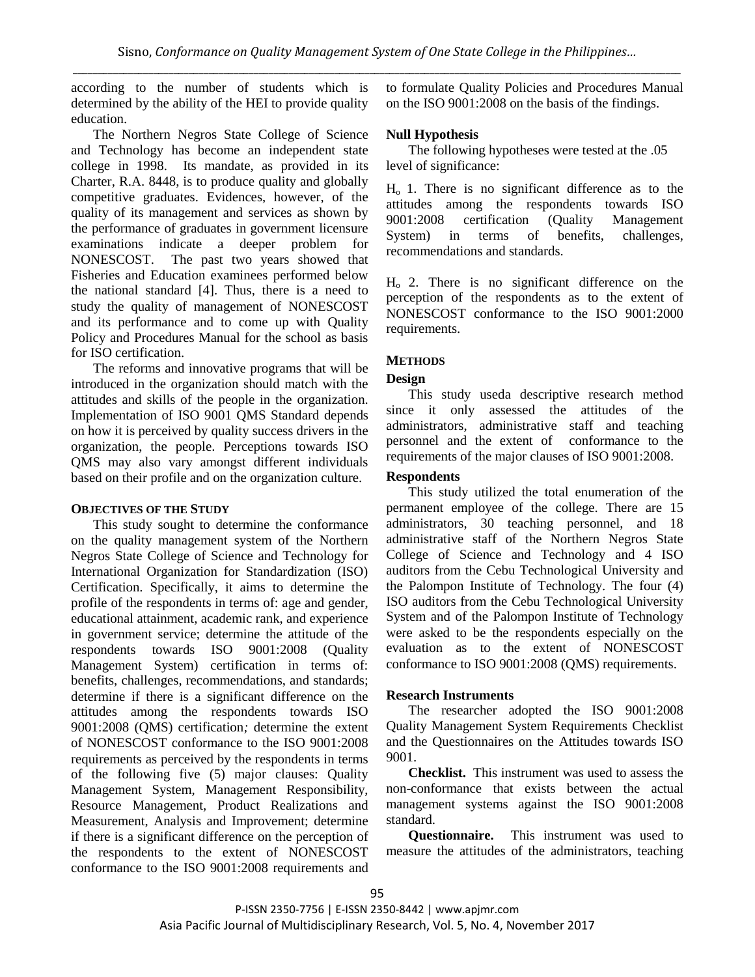according to the number of students which is determined by the ability of the HEI to provide quality education.

The Northern Negros State College of Science and Technology has become an independent state college in 1998. Its mandate, as provided in its Charter, R.A. 8448, is to produce quality and globally competitive graduates. Evidences, however, of the quality of its management and services as shown by the performance of graduates in government licensure examinations indicate a deeper problem for NONESCOST. The past two years showed that Fisheries and Education examinees performed below the national standard [4]. Thus, there is a need to study the quality of management of NONESCOST and its performance and to come up with Quality Policy and Procedures Manual for the school as basis for ISO certification.

The reforms and innovative programs that will be introduced in the organization should match with the attitudes and skills of the people in the organization. Implementation of ISO 9001 QMS Standard depends on how it is perceived by quality success drivers in the organization, the people. Perceptions towards ISO QMS may also vary amongst different individuals based on their profile and on the organization culture.

# **OBJECTIVES OF THE STUDY**

This study sought to determine the conformance on the quality management system of the Northern Negros State College of Science and Technology for International Organization for Standardization (ISO) Certification. Specifically, it aims to determine the profile of the respondents in terms of: age and gender, educational attainment, academic rank, and experience in government service; determine the attitude of the respondents towards ISO 9001:2008 (Quality Management System) certification in terms of: benefits, challenges, recommendations, and standards; determine if there is a significant difference on the attitudes among the respondents towards ISO 9001:2008 (QMS) certification*;* determine the extent of NONESCOST conformance to the ISO 9001:2008 requirements as perceived by the respondents in terms of the following five (5) major clauses: Quality Management System, Management Responsibility, Resource Management, Product Realizations and Measurement, Analysis and Improvement; determine if there is a significant difference on the perception of the respondents to the extent of NONESCOST conformance to the ISO 9001:2008 requirements and

to formulate Quality Policies and Procedures Manual on the ISO 9001:2008 on the basis of the findings.

# **Null Hypothesis**

The following hypotheses were tested at the .05 level of significance:

 $H<sub>o</sub>$  1. There is no significant difference as to the attitudes among the respondents towards ISO 9001:2008 certification (Quality Management System) in terms of benefits, challenges, recommendations and standards.

 $H<sub>o</sub>$  2. There is no significant difference on the perception of the respondents as to the extent of NONESCOST conformance to the ISO 9001:2000 requirements.

# **METHODS**

# **Design**

This study useda descriptive research method since it only assessed the attitudes of the administrators, administrative staff and teaching personnel and the extent of conformance to the requirements of the major clauses of ISO 9001:2008.

## **Respondents**

This study utilized the total enumeration of the permanent employee of the college. There are 15 administrators, 30 teaching personnel, and 18 administrative staff of the Northern Negros State College of Science and Technology and 4 ISO auditors from the Cebu Technological University and the Palompon Institute of Technology. The four (4) ISO auditors from the Cebu Technological University System and of the Palompon Institute of Technology were asked to be the respondents especially on the evaluation as to the extent of NONESCOST conformance to ISO 9001:2008 (QMS) requirements.

# **Research Instruments**

The researcher adopted the ISO 9001:2008 Quality Management System Requirements Checklist and the Questionnaires on the Attitudes towards ISO 9001.

**Checklist.** This instrument was used to assess the non-conformance that exists between the actual management systems against the ISO 9001:2008 standard.

**Questionnaire.** This instrument was used to measure the attitudes of the administrators, teaching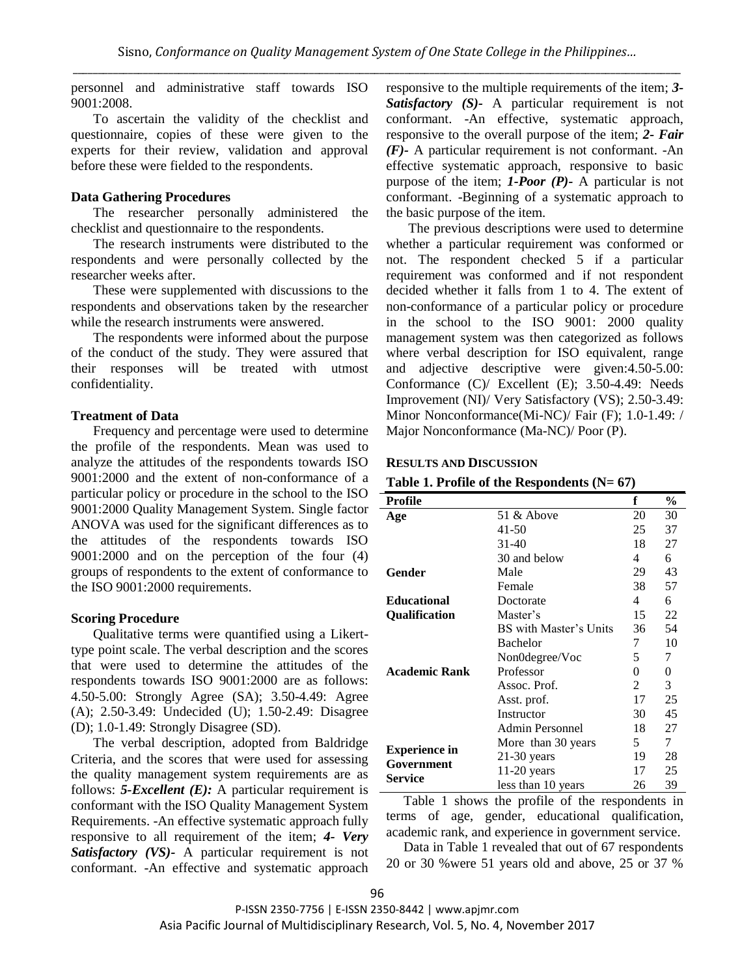personnel and administrative staff towards ISO 9001:2008.

To ascertain the validity of the checklist and questionnaire, copies of these were given to the experts for their review, validation and approval before these were fielded to the respondents.

## **Data Gathering Procedures**

The researcher personally administered the checklist and questionnaire to the respondents.

The research instruments were distributed to the respondents and were personally collected by the researcher weeks after.

These were supplemented with discussions to the respondents and observations taken by the researcher while the research instruments were answered.

The respondents were informed about the purpose of the conduct of the study. They were assured that their responses will be treated with utmost confidentiality.

#### **Treatment of Data**

Frequency and percentage were used to determine the profile of the respondents. Mean was used to analyze the attitudes of the respondents towards ISO 9001:2000 and the extent of non-conformance of a particular policy or procedure in the school to the ISO 9001:2000 Quality Management System. Single factor ANOVA was used for the significant differences as to the attitudes of the respondents towards ISO 9001:2000 and on the perception of the four (4) groups of respondents to the extent of conformance to the ISO 9001:2000 requirements.

#### **Scoring Procedure**

Qualitative terms were quantified using a Likerttype point scale. The verbal description and the scores that were used to determine the attitudes of the respondents towards ISO 9001:2000 are as follows: 4.50-5.00: Strongly Agree (SA); 3.50-4.49: Agree (A); 2.50-3.49: Undecided (U); 1.50-2.49: Disagree (D); 1.0-1.49: Strongly Disagree (SD).

The verbal description, adopted from Baldridge Criteria, and the scores that were used for assessing the quality management system requirements are as follows: *5-Excellent (E):* A particular requirement is conformant with the ISO Quality Management System Requirements. -An effective systematic approach fully responsive to all requirement of the item; *4- Very Satisfactory (VS)-* A particular requirement is not conformant. -An effective and systematic approach

responsive to the multiple requirements of the item; *3- Satisfactory (S)-* A particular requirement is not conformant. -An effective, systematic approach, responsive to the overall purpose of the item; *2- Fair (F)-* A particular requirement is not conformant. -An effective systematic approach, responsive to basic purpose of the item; *1-Poor (P)-* A particular is not conformant. -Beginning of a systematic approach to the basic purpose of the item.

The previous descriptions were used to determine whether a particular requirement was conformed or not. The respondent checked 5 if a particular requirement was conformed and if not respondent decided whether it falls from 1 to 4. The extent of non-conformance of a particular policy or procedure in the school to the ISO 9001: 2000 quality management system was then categorized as follows where verbal description for ISO equivalent, range and adjective descriptive were given:4.50-5.00: Conformance (C)/ Excellent (E); 3.50-4.49: Needs Improvement (NI)/ Very Satisfactory (VS); 2.50-3.49: Minor Nonconformance(Mi-NC)/ Fair (F); 1.0-1.49: / Major Nonconformance (Ma-NC)/ Poor (P).

#### **RESULTS AND DISCUSSION**

|  | Table 1. Profile of the Respondents $(N=67)$ |  |  |  |  |
|--|----------------------------------------------|--|--|--|--|
|--|----------------------------------------------|--|--|--|--|

| <b>Profile</b>                     |                        | f  | $\frac{0}{0}$ |
|------------------------------------|------------------------|----|---------------|
| Age                                | 51 & Above             | 20 | 30            |
|                                    | 41-50                  | 25 | 37            |
|                                    | $31 - 40$              | 18 | 27            |
|                                    | 30 and below           | 4  | 6             |
| Gender                             | Male                   | 29 | 43            |
|                                    | Female                 | 38 | 57            |
| <b>Educational</b>                 | Doctorate              | 4  | 6             |
| Qualification                      | Master's               | 15 | 22            |
|                                    | BS with Master's Units | 36 | 54            |
|                                    | <b>Bachelor</b>        | 7  | 10            |
|                                    | Non0degree/Voc         | 5  | 7             |
| Academic Rank                      | Professor              | 0  | 0             |
|                                    | Assoc. Prof.           | 2  | 3             |
|                                    | Asst. prof.            | 17 | 25            |
|                                    | Instructor             | 30 | 45            |
|                                    | Admin Personnel        | 18 | 27            |
|                                    | More than 30 years     | 5  | 7             |
| <b>Experience in</b><br>Government | $21-30$ years          | 19 | 28            |
| Service                            | $11-20$ years          | 17 | 25            |
|                                    | less than 10 years     | 26 | 39            |

Table 1 shows the profile of the respondents in terms of age, gender, educational qualification, academic rank, and experience in government service.

Data in Table 1 revealed that out of 67 respondents 20 or 30 %were 51 years old and above, 25 or 37 %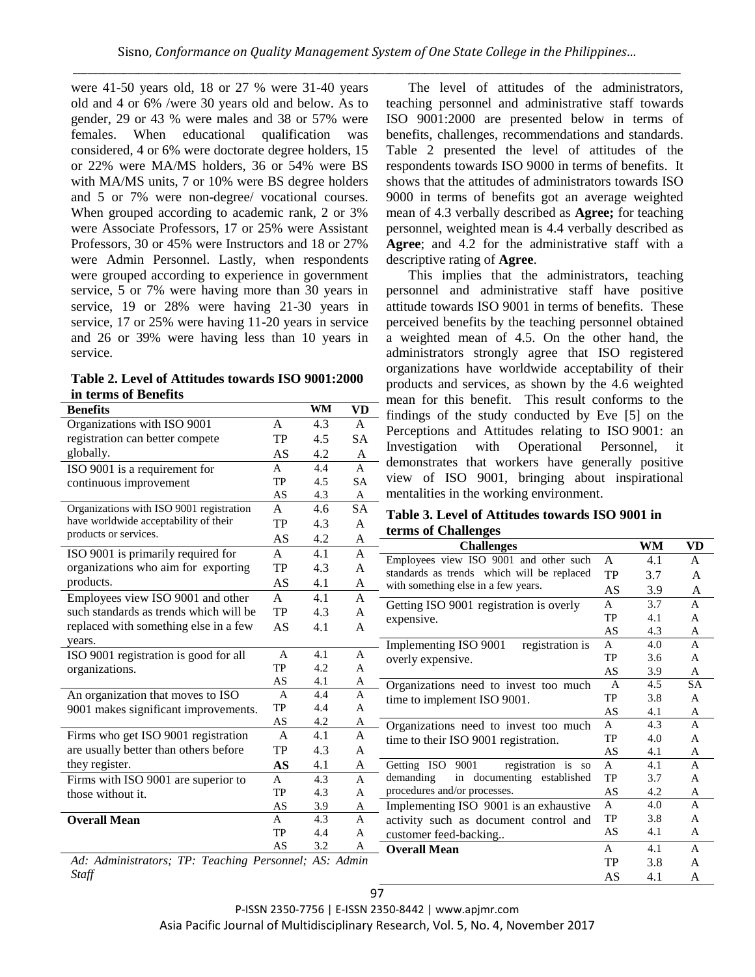were 41-50 years old, 18 or 27 % were 31-40 years old and 4 or 6% /were 30 years old and below. As to gender, 29 or 43 % were males and 38 or 57% were females. When educational qualification was considered, 4 or 6% were doctorate degree holders, 15 or 22% were MA/MS holders, 36 or 54% were BS with MA/MS units, 7 or 10% were BS degree holders and 5 or 7% were non-degree/ vocational courses. When grouped according to academic rank, 2 or 3% were Associate Professors, 17 or 25% were Assistant Professors, 30 or 45% were Instructors and 18 or 27% were Admin Personnel. Lastly, when respondents were grouped according to experience in government service, 5 or 7% were having more than 30 years in service, 19 or 28% were having 21-30 years in service, 17 or 25% were having 11-20 years in service and 26 or 39% were having less than 10 years in service.

**Table 2. Level of Attitudes towards ISO 9001:2000 in terms of Benefits** 

|                                                                                                     |                |           |              | mean for this benefit.<br>This result                                             |
|-----------------------------------------------------------------------------------------------------|----------------|-----------|--------------|-----------------------------------------------------------------------------------|
| <b>Benefits</b>                                                                                     |                | <b>WM</b> | VD           | findings of the study conducted by                                                |
| Organizations with ISO 9001                                                                         | A              | 4.3       | A            | Perceptions and Attitudes relating t                                              |
| registration can better compete                                                                     | TP             | 4.5       | SA           |                                                                                   |
| globally.                                                                                           | AS             | 4.2       | A            | Operational<br>Investigation<br>with                                              |
| ISO 9001 is a requirement for                                                                       | A              | 4.4       | A            | demonstrates that workers have ge                                                 |
| continuous improvement                                                                              | TP             | 4.5       | SA           | view of ISO 9001, bringing abo                                                    |
|                                                                                                     | AS             | 4.3       | A            | mentalities in the working environment                                            |
| Organizations with ISO 9001 registration                                                            | A              | 4.6       | <b>SA</b>    | <b>Table 3. Level of Attitudes towards</b>                                        |
| have worldwide acceptability of their                                                               | TP             | 4.3       | A            |                                                                                   |
| products or services.                                                                               | AS             | 4.2       | A            | terms of Challenges                                                               |
| ISO 9001 is primarily required for                                                                  | A              | 4.1       | $\mathbf{A}$ | <b>Challenges</b>                                                                 |
| organizations who aim for exporting                                                                 | <b>TP</b>      | 4.3       | A            | Employees view ISO 9001 and other such                                            |
| products.                                                                                           | AS             | 4.1       | A            | standards as trends which will be replaced<br>with something else in a few years. |
| Employees view ISO 9001 and other                                                                   | A              | 4.1       | A            |                                                                                   |
| such standards as trends which will be                                                              | TP             | 4.3       | A            | Getting ISO 9001 registration is overly                                           |
| replaced with something else in a few                                                               | AS             | 4.1       | A            | expensive.                                                                        |
| years.                                                                                              |                |           |              |                                                                                   |
| ISO 9001 registration is good for all                                                               | $\overline{A}$ | 4.1       | A            | registration is<br>Implementing ISO 9001                                          |
| organizations.                                                                                      | TP             | 4.2       | A            | overly expensive.                                                                 |
|                                                                                                     | AS             | 4.1       | A            |                                                                                   |
| An organization that moves to ISO                                                                   | $\mathbf{A}$   | 4.4       | A            | Organizations need to invest too much                                             |
| 9001 makes significant improvements.                                                                | TP             | 4.4       | A            | time to implement ISO 9001.                                                       |
|                                                                                                     | AS             | 4.2       | $\mathbf{A}$ | Organizations need to invest too much                                             |
| Firms who get ISO 9001 registration                                                                 | $\mathbf{A}$   | 4.1       | A            | time to their ISO 9001 registration.                                              |
| are usually better than others before                                                               | TP             | 4.3       | A            |                                                                                   |
| they register.                                                                                      | <b>AS</b>      | 4.1       | A            | Getting ISO 9001<br>registration is so                                            |
| Firms with ISO 9001 are superior to                                                                 | A              | 4.3       | $\mathbf{A}$ | in documenting established<br>demanding                                           |
| those without it.                                                                                   | TP             | 4.3       | A            | procedures and/or processes.                                                      |
|                                                                                                     | AS             | 3.9       | A            | Implementing ISO 9001 is an exhaustive                                            |
| <b>Overall Mean</b>                                                                                 | A              | 4.3       | A            | activity such as document control and                                             |
|                                                                                                     | <b>TP</b>      | 4.4       | A            | customer feed-backing                                                             |
|                                                                                                     | AS             | 3.2       | A            | <b>Overall Mean</b>                                                               |
| $\overline{TD}$ , $\overline{T}$ , $\overline{L}$ , $\overline{L}$ , $\overline{L}$<br>$\mathbf{r}$ |                | 1.4C.     | $A$ $J$ .    |                                                                                   |

*Staff*

The level of attitudes of the administrators, teaching personnel and administrative staff towards ISO 9001:2000 are presented below in terms of benefits, challenges, recommendations and standards. Table 2 presented the level of attitudes of the respondents towards ISO 9000 in terms of benefits. It shows that the attitudes of administrators towards ISO 9000 in terms of benefits got an average weighted mean of 4.3 verbally described as **Agree;** for teaching personnel, weighted mean is 4.4 verbally described as **Agree**; and 4.2 for the administrative staff with a descriptive rating of **Agree**.

This implies that the administrators, teaching personnel and administrative staff have positive attitude towards ISO 9001 in terms of benefits. These perceived benefits by the teaching personnel obtained a weighted mean of 4.5. On the other hand, the administrators strongly agree that ISO registered organizations have worldwide acceptability of their products and services, as shown by the 4.6 weighted for this benefit. This result conforms to the gs of the study conducted by Eve [5] on the ptions and Attitudes relating to ISO 9001: an igation with Operational Personnel, it nstrates that workers have generally positive of ISO 9001, bringing about inspirational lities in the working environment.

## **Table 3. Level of Attitudes towards ISO 9001 in**  of Challenges

**Challenges WM VD**

A 4.1 A

| TP. | 4.3                                                                                                  | A                                                                                                                   |                                                                                                                                                       |                                                                                                                                                                                                                                                                                                                                                                                                                                                                                                                                                                                                          |                                                                                                                |                                                                                                                                          |
|-----|------------------------------------------------------------------------------------------------------|---------------------------------------------------------------------------------------------------------------------|-------------------------------------------------------------------------------------------------------------------------------------------------------|----------------------------------------------------------------------------------------------------------------------------------------------------------------------------------------------------------------------------------------------------------------------------------------------------------------------------------------------------------------------------------------------------------------------------------------------------------------------------------------------------------------------------------------------------------------------------------------------------------|----------------------------------------------------------------------------------------------------------------|------------------------------------------------------------------------------------------------------------------------------------------|
| AS  | 4.1                                                                                                  | A                                                                                                                   |                                                                                                                                                       |                                                                                                                                                                                                                                                                                                                                                                                                                                                                                                                                                                                                          |                                                                                                                | A                                                                                                                                        |
| A   | 4.1                                                                                                  | A                                                                                                                   |                                                                                                                                                       |                                                                                                                                                                                                                                                                                                                                                                                                                                                                                                                                                                                                          |                                                                                                                | A                                                                                                                                        |
|     |                                                                                                      |                                                                                                                     |                                                                                                                                                       |                                                                                                                                                                                                                                                                                                                                                                                                                                                                                                                                                                                                          |                                                                                                                | A                                                                                                                                        |
|     |                                                                                                      |                                                                                                                     |                                                                                                                                                       |                                                                                                                                                                                                                                                                                                                                                                                                                                                                                                                                                                                                          |                                                                                                                | A                                                                                                                                        |
|     |                                                                                                      |                                                                                                                     |                                                                                                                                                       |                                                                                                                                                                                                                                                                                                                                                                                                                                                                                                                                                                                                          |                                                                                                                | A                                                                                                                                        |
|     |                                                                                                      |                                                                                                                     |                                                                                                                                                       |                                                                                                                                                                                                                                                                                                                                                                                                                                                                                                                                                                                                          |                                                                                                                | A                                                                                                                                        |
|     |                                                                                                      |                                                                                                                     |                                                                                                                                                       |                                                                                                                                                                                                                                                                                                                                                                                                                                                                                                                                                                                                          |                                                                                                                | A                                                                                                                                        |
|     |                                                                                                      |                                                                                                                     |                                                                                                                                                       |                                                                                                                                                                                                                                                                                                                                                                                                                                                                                                                                                                                                          |                                                                                                                | A                                                                                                                                        |
|     |                                                                                                      |                                                                                                                     |                                                                                                                                                       |                                                                                                                                                                                                                                                                                                                                                                                                                                                                                                                                                                                                          |                                                                                                                | SA                                                                                                                                       |
|     |                                                                                                      |                                                                                                                     |                                                                                                                                                       |                                                                                                                                                                                                                                                                                                                                                                                                                                                                                                                                                                                                          |                                                                                                                | A                                                                                                                                        |
|     |                                                                                                      |                                                                                                                     |                                                                                                                                                       |                                                                                                                                                                                                                                                                                                                                                                                                                                                                                                                                                                                                          |                                                                                                                | A                                                                                                                                        |
|     |                                                                                                      |                                                                                                                     |                                                                                                                                                       |                                                                                                                                                                                                                                                                                                                                                                                                                                                                                                                                                                                                          |                                                                                                                | A                                                                                                                                        |
|     |                                                                                                      |                                                                                                                     |                                                                                                                                                       |                                                                                                                                                                                                                                                                                                                                                                                                                                                                                                                                                                                                          |                                                                                                                | A                                                                                                                                        |
|     |                                                                                                      |                                                                                                                     |                                                                                                                                                       |                                                                                                                                                                                                                                                                                                                                                                                                                                                                                                                                                                                                          |                                                                                                                | A<br>A                                                                                                                                   |
|     |                                                                                                      |                                                                                                                     |                                                                                                                                                       |                                                                                                                                                                                                                                                                                                                                                                                                                                                                                                                                                                                                          |                                                                                                                |                                                                                                                                          |
|     |                                                                                                      |                                                                                                                     |                                                                                                                                                       |                                                                                                                                                                                                                                                                                                                                                                                                                                                                                                                                                                                                          |                                                                                                                | A                                                                                                                                        |
|     |                                                                                                      |                                                                                                                     |                                                                                                                                                       |                                                                                                                                                                                                                                                                                                                                                                                                                                                                                                                                                                                                          |                                                                                                                | A                                                                                                                                        |
|     |                                                                                                      |                                                                                                                     |                                                                                                                                                       |                                                                                                                                                                                                                                                                                                                                                                                                                                                                                                                                                                                                          |                                                                                                                | A                                                                                                                                        |
|     |                                                                                                      |                                                                                                                     |                                                                                                                                                       |                                                                                                                                                                                                                                                                                                                                                                                                                                                                                                                                                                                                          |                                                                                                                | A                                                                                                                                        |
|     |                                                                                                      |                                                                                                                     |                                                                                                                                                       |                                                                                                                                                                                                                                                                                                                                                                                                                                                                                                                                                                                                          |                                                                                                                | A                                                                                                                                        |
|     |                                                                                                      |                                                                                                                     | <b>Overall Mean</b>                                                                                                                                   | A                                                                                                                                                                                                                                                                                                                                                                                                                                                                                                                                                                                                        | 4.1                                                                                                            | A                                                                                                                                        |
|     |                                                                                                      |                                                                                                                     |                                                                                                                                                       | <b>TP</b>                                                                                                                                                                                                                                                                                                                                                                                                                                                                                                                                                                                                | 3.8                                                                                                            | A                                                                                                                                        |
|     |                                                                                                      |                                                                                                                     |                                                                                                                                                       | AS                                                                                                                                                                                                                                                                                                                                                                                                                                                                                                                                                                                                       | 4.1                                                                                                            | A                                                                                                                                        |
|     | <b>TP</b><br>AS<br>A<br>TP<br>AS<br>A<br>TP<br>AS<br>A<br>TP<br>AS<br>A<br>TP<br>AS<br>A<br>TP<br>AS | 4.3<br>4.1<br>4.1<br>4.2<br>4.1<br>4.4<br>4.4<br>4.2<br>4.1<br>4.3<br>4.1<br>4.3<br>4.3<br>3.9<br>4.3<br>4.4<br>3.2 | A<br>A<br>A<br>A<br>A<br>A<br>A<br>A<br>A<br>A<br>A<br>$\mathbf{A}$<br>A<br>A<br>A<br>A<br>A<br>Ad: Administrators; TP: Teaching Personnel; AS: Admin | standards as trends which will be replaced<br>with something else in a few years.<br>Getting ISO 9001 registration is overly<br>expensive.<br>Implementing ISO 9001<br>registration is<br>overly expensive.<br>Organizations need to invest too much<br>time to implement ISO 9001.<br>Organizations need to invest too much<br>time to their ISO 9001 registration.<br>9001<br>Getting ISO<br>registration is so<br>in documenting established<br>demanding<br>procedures and/or processes.<br>Implementing ISO 9001 is an exhaustive<br>activity such as document control and<br>customer feed-backing | TP<br>AS<br>A<br>TP<br>AS<br>A<br>TP<br>AS<br>A<br>TP<br>AS<br>A<br>TP<br>AS<br>A<br>TP<br>AS<br>A<br>TP<br>AS | 3.7<br>3.9<br>3.7<br>4.1<br>4.3<br>4.0<br>3.6<br>3.9<br>4.5<br>3.8<br>4.1<br>4.3<br>4.0<br>4.1<br>4.1<br>3.7<br>4.2<br>4.0<br>3.8<br>4.1 |

97 P-ISSN 2350-7756 | E-ISSN 2350-8442 | www.apjmr.com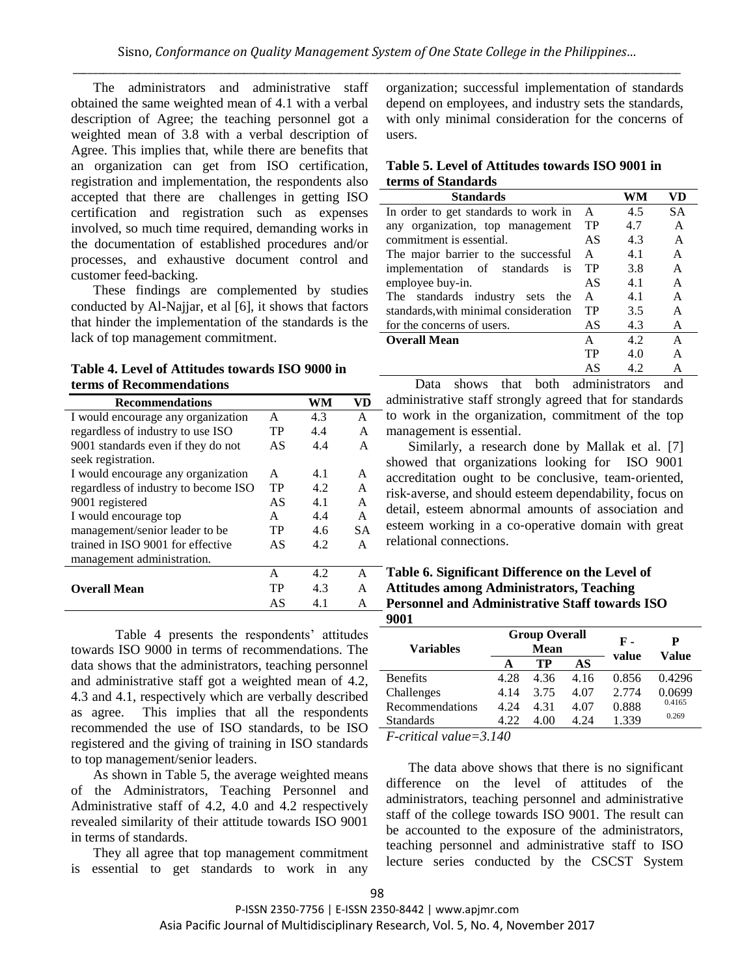The administrators and administrative staff obtained the same weighted mean of 4.1 with a verbal description of Agree; the teaching personnel got a weighted mean of 3.8 with a verbal description of Agree. This implies that, while there are benefits that an organization can get from ISO certification, registration and implementation, the respondents also accepted that there are challenges in getting ISO certification and registration such as expenses involved, so much time required, demanding works in the documentation of established procedures and/or processes, and exhaustive document control and customer feed-backing.

These findings are complemented by studies conducted by Al-Najjar, et al [6], it shows that factors that hinder the implementation of the standards is the lack of top management commitment.

**Table 4. Level of Attitudes towards ISO 9000 in terms of Recommendations**

| <b>Recommendations</b>               |    | WM  | VD        |
|--------------------------------------|----|-----|-----------|
| I would encourage any organization   | A  | 4.3 | A         |
| regardless of industry to use ISO    | TP | 4.4 | A         |
| 9001 standards even if they do not   | AS | 4.4 | A         |
| seek registration.                   |    |     |           |
| I would encourage any organization   | A  | 4.1 | A         |
| regardless of industry to become ISO | TP | 4.2 | A         |
| 9001 registered                      | AS | 41  | A         |
| I would encourage top                | A  | 4.4 | A         |
| management/senior leader to be       | TP | 4.6 | <b>SA</b> |
| trained in ISO 9001 for effective    | AS | 4.2 | A         |
| management administration.           |    |     |           |
|                                      | A  | 4.2 | A         |
| <b>Overall Mean</b>                  | TP | 4.3 | A         |
|                                      | AS | 4.1 |           |

Table 4 presents the respondents' attitudes towards ISO 9000 in terms of recommendations. The data shows that the administrators, teaching personnel and administrative staff got a weighted mean of 4.2, 4.3 and 4.1, respectively which are verbally described as agree. This implies that all the respondents recommended the use of ISO standards, to be ISO registered and the giving of training in ISO standards to top management/senior leaders.

As shown in Table 5, the average weighted means of the Administrators, Teaching Personnel and Administrative staff of 4.2, 4.0 and 4.2 respectively revealed similarity of their attitude towards ISO 9001 in terms of standards.

They all agree that top management commitment is essential to get standards to work in any organization; successful implementation of standards depend on employees, and industry sets the standards, with only minimal consideration for the concerns of users.

# **Table 5. Level of Attitudes towards ISO 9001 in terms of Standards**

| <b>Standards</b>                      |    | WM  | VD           |
|---------------------------------------|----|-----|--------------|
| In order to get standards to work in  | A  | 4.5 | <b>SA</b>    |
| any organization, top management      | TP | 4.7 | A            |
| commitment is essential.              | AS | 4.3 | A            |
| The major barrier to the successful   | A  | 4.1 | A            |
| implementation of standards<br>is     | TP | 3.8 | A            |
| employee buy-in.                      | AS | 4.1 | A            |
| The standards industry<br>sets<br>the | A  | 4.1 | A            |
| standards, with minimal consideration | TP | 3.5 | A            |
| for the concerns of users.            | AS | 4.3 | A            |
| <b>Overall Mean</b>                   | A  | 4.2 | $\mathsf{A}$ |
|                                       | TP | 4.0 | A            |
|                                       | AS | 4.2 | A            |

 Data shows that both administrators and administrative staff strongly agreed that for standards to work in the organization, commitment of the top management is essential.

Similarly, a research done by Mallak et al. [7] showed that organizations looking for ISO 9001 accreditation ought to be conclusive, team‐oriented, risk‐averse, and should esteem dependability, focus on detail, esteem abnormal amounts of association and esteem working in a co-operative domain with great relational connections.

## **Table 6. Significant Difference on the Level of Attitudes among Administrators, Teaching Personnel and Administrative Staff towards ISO 9001**

| <b>Variables</b>                 |      | <b>Group Overall</b><br><b>Mean</b> |      | F -<br>value | P<br>Value |
|----------------------------------|------|-------------------------------------|------|--------------|------------|
|                                  |      | TР                                  | AS   |              |            |
| <b>Benefits</b>                  | 4.28 | 4.36                                | 4.16 | 0.856        | 0.4296     |
| Challenges                       | 4.14 | 3.75                                | 4.07 | 2.774        | 0.0699     |
| Recommendations                  | 4.24 | 4.31                                | 4.07 | 0.888        | 0.4165     |
| <b>Standards</b>                 | 4.22 | 4.00                                | 4.24 | 1.339        | 0.269      |
| $\Gamma$ oritical value $-2.140$ |      |                                     |      |              |            |

*F-critical value=3.140*

The data above shows that there is no significant difference on the level of attitudes of the administrators, teaching personnel and administrative staff of the college towards ISO 9001. The result can be accounted to the exposure of the administrators, teaching personnel and administrative staff to ISO lecture series conducted by the CSCST System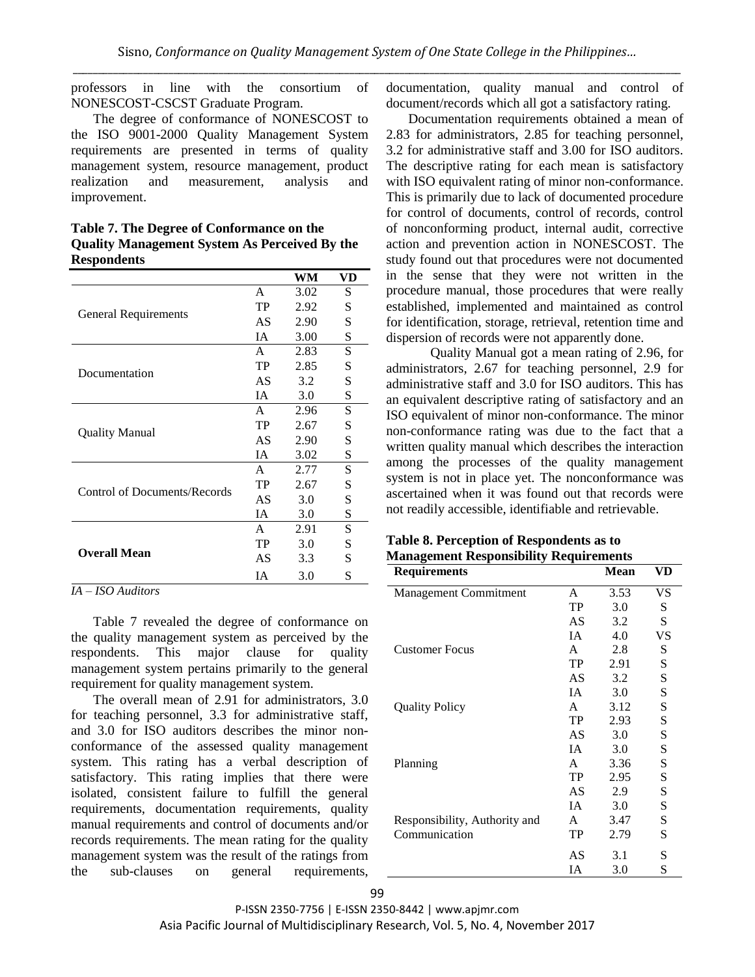professors in line with the consortium of NONESCOST-CSCST Graduate Program.

The degree of conformance of NONESCOST to the ISO 9001-2000 Quality Management System requirements are presented in terms of quality management system, resource management, product realization and measurement, analysis and improvement.

| Table 7. The Degree of Conformance on the            |
|------------------------------------------------------|
| <b>Quality Management System As Perceived By the</b> |
| <b>Respondents</b>                                   |

|                              |              | WM   | VD |
|------------------------------|--------------|------|----|
|                              | A            | 3.02 | S  |
|                              | TP           | 2.92 | S  |
| General Requirements         | AS           | 2.90 | S  |
|                              | <b>IA</b>    | 3.00 | S  |
|                              | A            | 2.83 | S  |
|                              | TP           | 2.85 | S  |
| Documentation                | AS           | 3.2  | S  |
|                              | <b>IA</b>    | 3.0  | S  |
|                              | A            | 2.96 | S  |
|                              | TP           | 2.67 | S  |
| <b>Quality Manual</b>        | AS           | 2.90 | S  |
|                              | <b>IA</b>    | 3.02 | S  |
|                              | A            | 2.77 | S  |
| Control of Documents/Records | TP           | 2.67 | S  |
|                              | AS           | 3.0  | S  |
|                              | <b>IA</b>    | 3.0  | S  |
|                              | $\mathsf{A}$ | 2.91 | S  |
|                              | TP           | 3.0  | S  |
| <b>Overall Mean</b>          | AS           | 3.3  | S  |
|                              | <b>IA</b>    | 3.0  | S  |

*IA – ISO Auditors*

Table 7 revealed the degree of conformance on the quality management system as perceived by the respondents. This major clause for quality management system pertains primarily to the general requirement for quality management system.

The overall mean of 2.91 for administrators, 3.0 for teaching personnel, 3.3 for administrative staff, and 3.0 for ISO auditors describes the minor nonconformance of the assessed quality management system. This rating has a verbal description of satisfactory. This rating implies that there were isolated, consistent failure to fulfill the general requirements, documentation requirements, quality manual requirements and control of documents and/or records requirements. The mean rating for the quality management system was the result of the ratings from the sub-clauses on general requirements,

documentation, quality manual and control of document/records which all got a satisfactory rating.

Documentation requirements obtained a mean of 2.83 for administrators, 2.85 for teaching personnel, 3.2 for administrative staff and 3.00 for ISO auditors. The descriptive rating for each mean is satisfactory with ISO equivalent rating of minor non-conformance. This is primarily due to lack of documented procedure for control of documents, control of records, control of nonconforming product, internal audit, corrective action and prevention action in NONESCOST. The study found out that procedures were not documented in the sense that they were not written in the procedure manual, those procedures that were really established, implemented and maintained as control for identification, storage, retrieval, retention time and dispersion of records were not apparently done.

Quality Manual got a mean rating of 2.96, for administrators, 2.67 for teaching personnel, 2.9 for administrative staff and 3.0 for ISO auditors. This has an equivalent descriptive rating of satisfactory and an ISO equivalent of minor non-conformance. The minor non-conformance rating was due to the fact that a written quality manual which describes the interaction among the processes of the quality management system is not in place yet. The nonconformance was ascertained when it was found out that records were not readily accessible, identifiable and retrievable.

| Table 8. Perception of Respondents as to      |
|-----------------------------------------------|
| <b>Management Responsibility Requirements</b> |

| ranagement responsibility<br><b>Requirements</b> | <b>Tredan curente</b> | <b>Mean</b> | VD        |
|--------------------------------------------------|-----------------------|-------------|-----------|
| <b>Management Commitment</b>                     | A                     | 3.53        | VS        |
|                                                  | TP                    | 3.0         | S         |
|                                                  | AS                    | 3.2         | S         |
|                                                  | IA                    | 4.0         | VS        |
| <b>Customer Focus</b>                            | A                     | 2.8         | S         |
|                                                  | TP                    | 2.91        | S         |
|                                                  | AS                    | 3.2         | ${\bf S}$ |
|                                                  | IA                    | 3.0         | S         |
| <b>Quality Policy</b>                            | A                     | 3.12        | ${\bf S}$ |
|                                                  | TP                    | 2.93        | S         |
|                                                  | AS                    | 3.0         | S         |
|                                                  | IA                    | 3.0         | ${\bf S}$ |
| Planning                                         | A                     | 3.36        | S         |
|                                                  | <b>TP</b>             | 2.95        | S         |
|                                                  | AS                    | 2.9         | S         |
|                                                  | IA                    | 3.0         | S         |
| Responsibility, Authority and                    | $\mathsf{A}$          | 3.47        | S         |
| Communication                                    | TP                    | 2.79        | S         |
|                                                  | AS                    | 3.1         | S         |
|                                                  | IA                    | 3.0         | S         |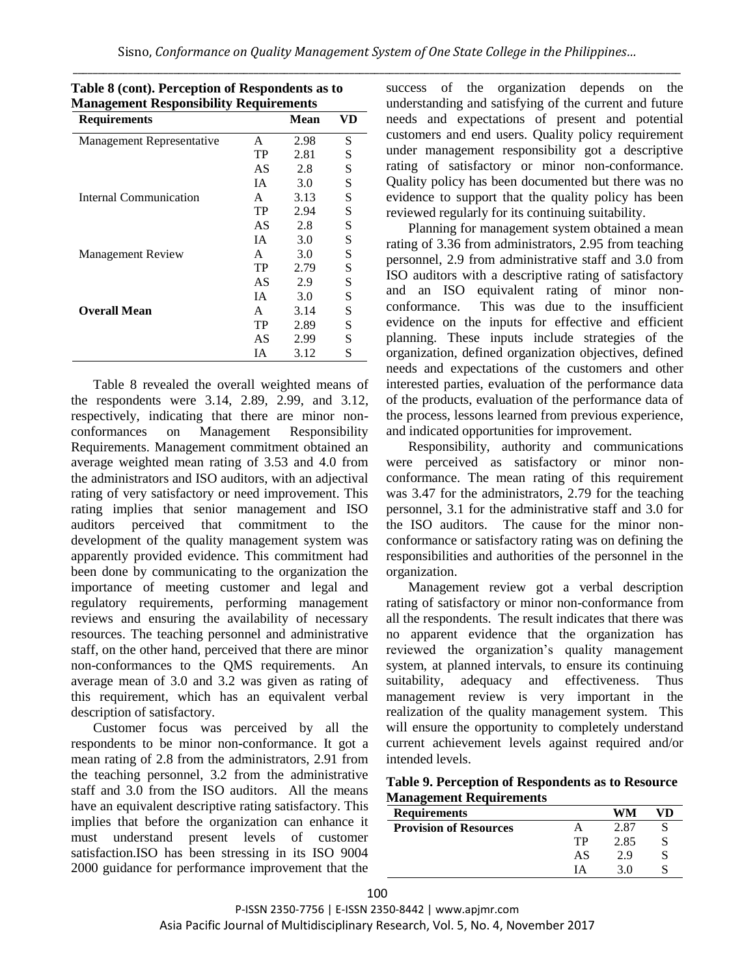| <b>Requirements</b>       |           | Mean | VD |
|---------------------------|-----------|------|----|
| Management Representative | A         | 2.98 | S  |
|                           | TP        | 2.81 | S  |
|                           | AS        | 2.8  | S  |
|                           | IΑ        | 3.0  | S  |
| Internal Communication    | A         | 3.13 | S  |
|                           | TP        | 2.94 | S  |
|                           | AS        | 2.8  | S  |
|                           | IΑ        | 3.0  | S  |
| <b>Management Review</b>  | A         | 3.0  | S  |
|                           | TP        | 2.79 | S  |
|                           | AS        | 2.9  | S  |
|                           | <b>IA</b> | 3.0  | S  |
| <b>Overall Mean</b>       | A         | 3.14 | S  |
|                           | TP        | 2.89 | S  |
|                           | AS        | 2.99 | S  |
|                           | IА        | 3.12 | S  |

| Table 8 (cont). Perception of Respondents as to |
|-------------------------------------------------|
| <b>Management Responsibility Requirements</b>   |

Table 8 revealed the overall weighted means of the respondents were 3.14, 2.89, 2.99, and 3.12, respectively, indicating that there are minor nonconformances on Management Responsibility Requirements. Management commitment obtained an average weighted mean rating of 3.53 and 4.0 from the administrators and ISO auditors, with an adjectival rating of very satisfactory or need improvement. This rating implies that senior management and ISO auditors perceived that commitment to the development of the quality management system was apparently provided evidence. This commitment had been done by communicating to the organization the importance of meeting customer and legal and regulatory requirements, performing management reviews and ensuring the availability of necessary resources. The teaching personnel and administrative staff, on the other hand, perceived that there are minor non-conformances to the QMS requirements. An average mean of 3.0 and 3.2 was given as rating of this requirement, which has an equivalent verbal description of satisfactory.

Customer focus was perceived by all the respondents to be minor non-conformance. It got a mean rating of 2.8 from the administrators, 2.91 from the teaching personnel, 3.2 from the administrative staff and 3.0 from the ISO auditors. All the means have an equivalent descriptive rating satisfactory. This implies that before the organization can enhance it must understand present levels of customer satisfaction.ISO has been stressing in its ISO 9004 2000 guidance for performance improvement that the success of the organization depends on the understanding and satisfying of the current and future needs and expectations of present and potential customers and end users. Quality policy requirement under management responsibility got a descriptive rating of satisfactory or minor non-conformance. Quality policy has been documented but there was no evidence to support that the quality policy has been reviewed regularly for its continuing suitability.

Planning for management system obtained a mean rating of 3.36 from administrators, 2.95 from teaching personnel, 2.9 from administrative staff and 3.0 from ISO auditors with a descriptive rating of satisfactory and an ISO equivalent rating of minor nonconformance. This was due to the insufficient evidence on the inputs for effective and efficient planning. These inputs include strategies of the organization, defined organization objectives, defined needs and expectations of the customers and other interested parties, evaluation of the performance data of the products, evaluation of the performance data of the process, lessons learned from previous experience, and indicated opportunities for improvement.

Responsibility, authority and communications were perceived as satisfactory or minor nonconformance. The mean rating of this requirement was 3.47 for the administrators, 2.79 for the teaching personnel, 3.1 for the administrative staff and 3.0 for the ISO auditors. The cause for the minor nonconformance or satisfactory rating was on defining the responsibilities and authorities of the personnel in the organization.

Management review got a verbal description rating of satisfactory or minor non-conformance from all the respondents. The result indicates that there was no apparent evidence that the organization has reviewed the organization's quality management system, at planned intervals, to ensure its continuing suitability, adequacy and effectiveness. Thus management review is very important in the realization of the quality management system. This will ensure the opportunity to completely understand current achievement levels against required and/or intended levels.

**Table 9. Perception of Respondents as to Resource Management Requirements**

| <b>Requirements</b>           |    |      |  |
|-------------------------------|----|------|--|
| <b>Provision of Resources</b> |    | 2.87 |  |
|                               | TР | 2.85 |  |
|                               | AS | 2.9  |  |
|                               | IΔ | 3 O  |  |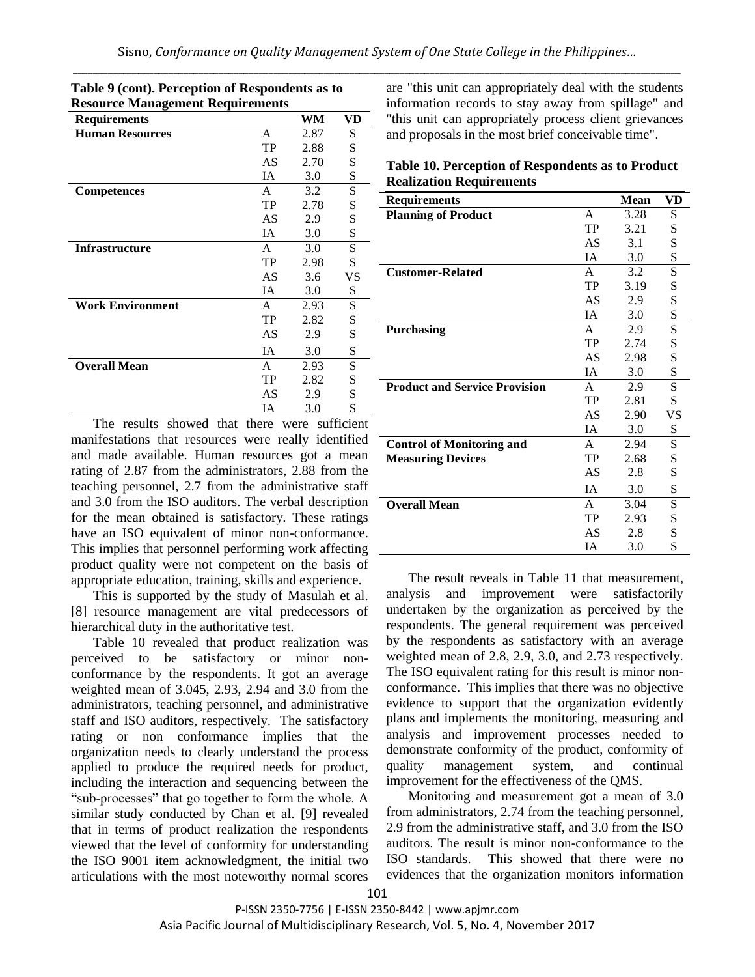| <b>Resource Management Requirements</b> |           |      |     |  |
|-----------------------------------------|-----------|------|-----|--|
| <b>Requirements</b>                     |           | WM   | VD  |  |
| <b>Human Resources</b>                  | A         | 2.87 | S   |  |
|                                         | TP        | 2.88 | S   |  |
|                                         | AS        | 2.70 | S   |  |
|                                         | IA        | 3.0  | S   |  |
| <b>Competences</b>                      | A         | 3.2  | S   |  |
|                                         | TP        | 2.78 | S   |  |
|                                         | AS        | 2.9  | S   |  |
|                                         | IA        | 3.0  | S   |  |
| <b>Infrastructure</b>                   | A         | 3.0  | S   |  |
|                                         | TP        | 2.98 | S   |  |
|                                         | AS        | 3.6  | VS  |  |
|                                         | IA        | 3.0  | S   |  |
| <b>Work Environment</b>                 | A         | 2.93 | S   |  |
|                                         | TP        | 2.82 | S   |  |
|                                         | AS        | 2.9  | S   |  |
|                                         | IA        | 3.0  | S   |  |
| <b>Overall Mean</b>                     | A         | 2.93 | S   |  |
|                                         | TP        | 2.82 | S   |  |
|                                         | AS        | 2.9  | S   |  |
|                                         | IΑ        | 3.0  | S   |  |
| т.<br>m1.<br>1.<br>$1 - .1$             | $\cdot$ 1 |      | cc. |  |

**Table 9 (cont). Perception of Respondents as to** 

The results showed that there were sufficient manifestations that resources were really identified and made available. Human resources got a mean rating of 2.87 from the administrators, 2.88 from the teaching personnel, 2.7 from the administrative staff and 3.0 from the ISO auditors. The verbal description for the mean obtained is satisfactory. These ratings have an ISO equivalent of minor non-conformance. This implies that personnel performing work affecting \_ product quality were not competent on the basis of appropriate education, training, skills and experience.

This is supported by the study of Masulah et al. [8] resource management are vital predecessors of hierarchical duty in the authoritative test.

Table 10 revealed that product realization was perceived to be satisfactory or minor nonconformance by the respondents. It got an average weighted mean of 3.045, 2.93, 2.94 and 3.0 from the administrators, teaching personnel, and administrative staff and ISO auditors, respectively. The satisfactory rating or non conformance implies that the organization needs to clearly understand the process applied to produce the required needs for product, including the interaction and sequencing between the "sub-processes" that go together to form the whole. A similar study conducted by Chan et al. [9] revealed that in terms of product realization the respondents viewed that the level of conformity for understanding the ISO 9001 item acknowledgment, the initial two articulations with the most noteworthy normal scores are "this unit can appropriately deal with the students information records to stay away from spillage" and "this unit can appropriately process client grievances and proposals in the most brief conceivable time".

| Table 10. Perception of Respondents as to Product |
|---------------------------------------------------|
| <b>Realization Requirements</b>                   |

| <b>Requirements</b>                  |              | <b>Mean</b> | VD |
|--------------------------------------|--------------|-------------|----|
| <b>Planning of Product</b>           | A            | 3.28        | S  |
|                                      | TP           | 3.21        | S  |
|                                      | AS           | 3.1         | S  |
|                                      | IA           | 3.0         | S  |
| <b>Customer-Related</b>              | $\mathsf{A}$ | 3.2         | S  |
|                                      | TP           | 3.19        | S  |
|                                      | AS           | 2.9         | S  |
|                                      | <b>IA</b>    | 3.0         | S  |
| <b>Purchasing</b>                    | $\mathsf{A}$ | 2.9         | S  |
|                                      | TP           | 2.74        | S  |
|                                      | AS           | 2.98        | S  |
|                                      | <b>IA</b>    | 3.0         | S  |
| <b>Product and Service Provision</b> | $\mathsf{A}$ | 2.9         | S  |
|                                      | TP           | 2.81        | S  |
|                                      | AS           | 2.90        | VS |
|                                      | IA           | 3.0         | S  |
| <b>Control of Monitoring and</b>     | A            | 2.94        | S  |
| <b>Measuring Devices</b>             | TP           | 2.68        | S  |
|                                      | AS           | 2.8         | S  |
|                                      | <b>IA</b>    | 3.0         | S  |
| <b>Overall Mean</b>                  | A            | 3.04        | S  |
|                                      | TP           | 2.93        | S  |
|                                      | AS           | 2.8         | S  |
|                                      | IA           | 3.0         | S  |
|                                      |              |             |    |

The result reveals in Table 11 that measurement, analysis and improvement were satisfactorily undertaken by the organization as perceived by the respondents. The general requirement was perceived by the respondents as satisfactory with an average weighted mean of 2.8, 2.9, 3.0, and 2.73 respectively. The ISO equivalent rating for this result is minor nonconformance. This implies that there was no objective evidence to support that the organization evidently plans and implements the monitoring, measuring and analysis and improvement processes needed to demonstrate conformity of the product, conformity of quality management system, and continual improvement for the effectiveness of the QMS.

Monitoring and measurement got a mean of 3.0 from administrators, 2.74 from the teaching personnel, 2.9 from the administrative staff, and 3.0 from the ISO auditors. The result is minor non-conformance to the ISO standards. This showed that there were no evidences that the organization monitors information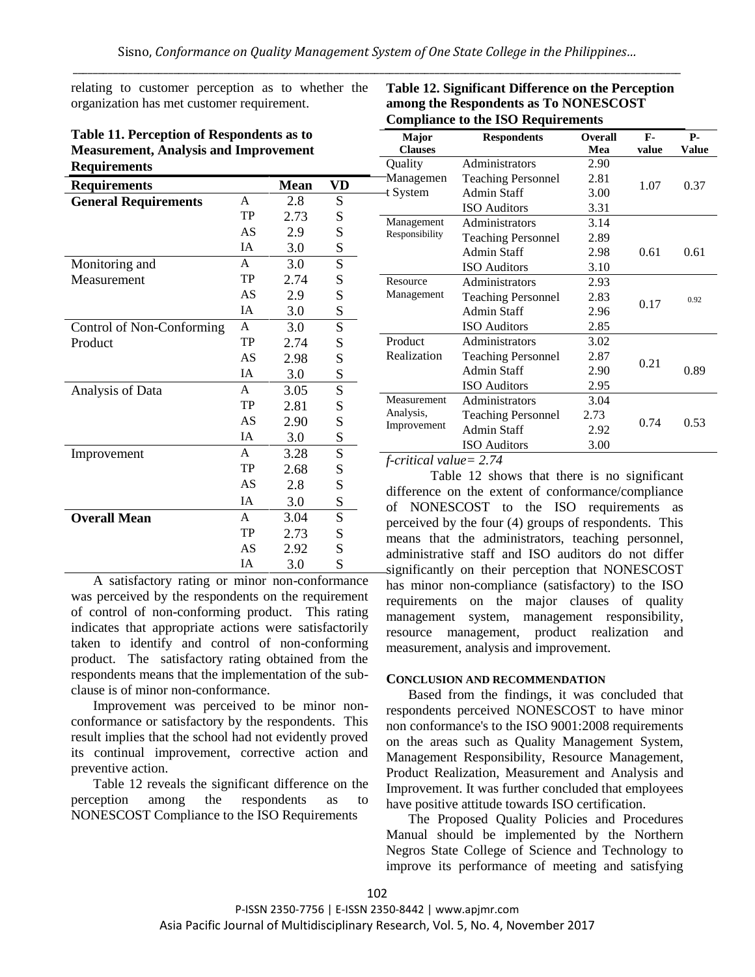relating to customer perception as to whether the organization has met customer requirement.

| Table 11. Perception of Respondents as to    |
|----------------------------------------------|
| <b>Measurement, Analysis and Improvement</b> |
| <b>Requirements</b>                          |

| <b>Requirements</b>         |              | <b>Mean</b> | VD        |  |
|-----------------------------|--------------|-------------|-----------|--|
| <b>General Requirements</b> | A            | 2.8         | S         |  |
|                             | TP           | 2.73        | S         |  |
|                             | AS           | 2.9         | S         |  |
|                             | IΑ           | 3.0         | S         |  |
| Monitoring and              | A            | 3.0         | S         |  |
| Measurement                 | TP           | 2.74        | S         |  |
|                             | AS           | 2.9         | S         |  |
|                             | <b>IA</b>    | 3.0         | S         |  |
| Control of Non-Conforming   | A            | 3.0         | S         |  |
| Product                     | TP           | 2.74        | S         |  |
|                             | AS           | 2.98        | ${\bf S}$ |  |
|                             | <b>IA</b>    | 3.0         | S         |  |
| Analysis of Data            | $\mathsf{A}$ | 3.05        | S         |  |
|                             | TP           | 2.81        | S         |  |
|                             | AS           | 2.90        | S         |  |
|                             | <b>IA</b>    | 3.0         | S         |  |
| Improvement                 | $\mathsf{A}$ | 3.28        | S         |  |
|                             | TP           | 2.68        | S         |  |
|                             | AS           | 2.8         | S         |  |
|                             | <b>IA</b>    | 3.0         | S         |  |
| <b>Overall Mean</b>         | $\mathsf{A}$ | 3.04        | S         |  |
|                             | <b>TP</b>    | 2.73        | S         |  |
|                             | AS           | 2.92        | ${\bf S}$ |  |
|                             | IA           | 3.0         | S         |  |

A satisfactory rating or minor non-conformance was perceived by the respondents on the requirement of control of non-conforming product. This rating indicates that appropriate actions were satisfactorily taken to identify and control of non-conforming product. The satisfactory rating obtained from the respondents means that the implementation of the subclause is of minor non-conformance.

Improvement was perceived to be minor nonconformance or satisfactory by the respondents. This result implies that the school had not evidently proved its continual improvement, corrective action and preventive action.

Table 12 reveals the significant difference on the perception among the respondents as to NONESCOST Compliance to the ISO Requirements

| <i>c</i> omphance to the 100 reequirements |                           |                |              |       |  |
|--------------------------------------------|---------------------------|----------------|--------------|-------|--|
| Major                                      | <b>Respondents</b>        | <b>Overall</b> | $\mathbf{F}$ | Р.    |  |
| <b>Clauses</b>                             |                           | Mea            | value        | Value |  |
| Quality                                    | Administrators            | 2.90           |              |       |  |
| Managemen                                  | <b>Teaching Personnel</b> | 2.81           | 1.07         | 0.37  |  |
| t System                                   | <b>Admin Staff</b>        | 3.00           |              |       |  |
|                                            | <b>ISO</b> Auditors       | 3.31           |              |       |  |
| Management                                 | Administrators            | 3.14           |              |       |  |
| Responsibility                             | <b>Teaching Personnel</b> | 2.89           |              |       |  |
|                                            | <b>Admin Staff</b>        | 2.98           | 0.61         | 0.61  |  |
|                                            | <b>ISO</b> Auditors       | 3.10           |              |       |  |
| Resource                                   | Administrators            | 2.93           |              |       |  |
| Management                                 | <b>Teaching Personnel</b> | 2.83           |              | 0.92  |  |
|                                            | Admin Staff               | 2.96           | 0.17         |       |  |
|                                            | <b>ISO</b> Auditors       | 2.85           |              |       |  |
| Product                                    | Administrators            | 3.02           |              |       |  |
| Realization                                | <b>Teaching Personnel</b> | 2.87           |              |       |  |
|                                            | Admin Staff               | 2.90           | 0.21         | 0.89  |  |
|                                            | <b>ISO</b> Auditors       | 2.95           |              |       |  |
| Measurement                                | Administrators            | 3.04           |              |       |  |
| Analysis,                                  | <b>Teaching Personnel</b> | 2.73           |              |       |  |
| Improvement                                | Admin Staff               | 2.92           | 0.74         | 0.53  |  |
|                                            | <b>ISO</b> Auditors       | 3.00           |              |       |  |

## **Table 12. Significant Difference on the Perception among the Respondents as To NONESCOST Compliance to the ISO Requirements**

*f-critical value= 2.74*

Table 12 shows that there is no significant difference on the extent of conformance/compliance of NONESCOST to the ISO requirements as perceived by the four (4) groups of respondents. This means that the administrators, teaching personnel, administrative staff and ISO auditors do not differ significantly on their perception that NONESCOST has minor non-compliance (satisfactory) to the ISO requirements on the major clauses of quality management system, management responsibility, resource management, product realization and measurement, analysis and improvement.

## **CONCLUSION AND RECOMMENDATION**

Based from the findings, it was concluded that respondents perceived NONESCOST to have minor non conformance's to the ISO 9001:2008 requirements on the areas such as Quality Management System, Management Responsibility, Resource Management, Product Realization, Measurement and Analysis and Improvement. It was further concluded that employees have positive attitude towards ISO certification.

The Proposed Quality Policies and Procedures Manual should be implemented by the Northern Negros State College of Science and Technology to improve its performance of meeting and satisfying